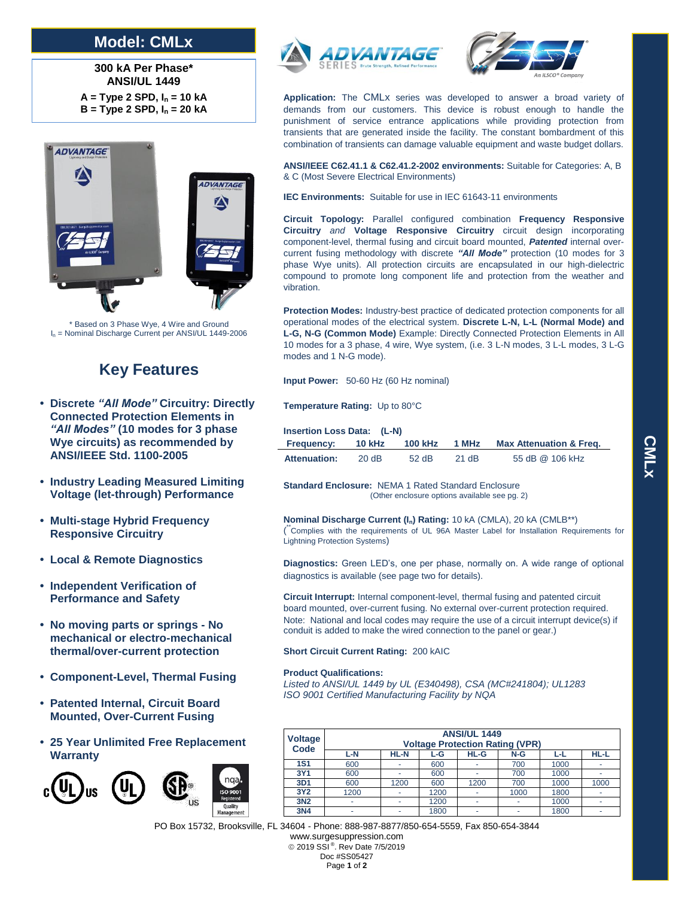## **Model: CMLx**

**300 kA Per Phase\* ANSI/UL 1449 A = Type 2 SPD, I<sup>n</sup> = 10 kA B = Type 2 SPD, I<sup>n</sup> = 20 kA**



\* Based on 3 Phase Wye, 4 Wire and Ground I<sup>n</sup> = Nominal Discharge Current per ANSI/UL 1449-2006

## **Key Features**

- **• Discrete** *"All Mode"* **Circuitry: Directly Connected Protection Elements in**  *"All Modes"* **(10 modes for 3 phase Wye circuits) as recommended by ANSI/IEEE Std. 1100-2005**
- **• Industry Leading Measured Limiting Voltage (let-through) Performance**
- **• Multi-stage Hybrid Frequency Responsive Circuitry**
- **• Local & Remote Diagnostics**
- **• Independent Verification of Performance and Safety**
- **• No moving parts or springs - No mechanical or electro-mechanical thermal/over-current protection**
- **• Component-Level, Thermal Fusing**
- **• Patented Internal, Circuit Board Mounted, Over-Current Fusing**
- **• 25 Year Unlimited Free Replacement Warranty**







**Application:** The CMLx series was developed to answer a broad variety of demands from our customers. This device is robust enough to handle the punishment of service entrance applications while providing protection from transients that are generated inside the facility. The constant bombardment of this combination of transients can damage valuable equipment and waste budget dollars.

**ANSI/IEEE C62.41.1 & C62.41.2-2002 environments:** Suitable for Categories: A, B & C (Most Severe Electrical Environments)

**IEC Environments:** Suitable for use in IEC 61643-11 environments

**Circuit Topology:** Parallel configured combination **Frequency Responsive Circuitry** *and* **Voltage Responsive Circuitry** circuit design incorporating component-level, thermal fusing and circuit board mounted, *Patented* internal overcurrent fusing methodology with discrete *"All Mode"* protection (10 modes for 3 phase Wye units). All protection circuits are encapsulated in our high-dielectric compound to promote long component life and protection from the weather and vibration.

**Protection Modes:** Industry-best practice of dedicated protection components for all operational modes of the electrical system. **Discrete L-N, L-L (Normal Mode) and L-G, N-G (Common Mode)** Example: Directly Connected Protection Elements in All 10 modes for a 3 phase, 4 wire, Wye system, (i.e. 3 L-N modes, 3 L-L modes, 3 L-G modes and 1 N-G mode).

**Input Power:** 50-60 Hz (60 Hz nominal)

**Temperature Rating:** Up to 80°C

| <b>Insertion Loss Data: (L-N)</b> |               |         |       |                                    |  |  |
|-----------------------------------|---------------|---------|-------|------------------------------------|--|--|
| <b>Frequency:</b>                 | <b>10 kHz</b> |         | 1 MHz | <b>Max Attenuation &amp; Freg.</b> |  |  |
| <b>Attenuation:</b>               | 20 dB         | $52$ dB | 21 dB | 55 dB @ 106 kHz                    |  |  |

**Standard Enclosure:** NEMA 1 Rated Standard Enclosure (Other enclosure options available see pg. 2)

**Nominal Discharge Current (In) Rating:** 10 kA (CMLA), 20 kA (CMLB\*\*) ( \*\*Complies with the requirements of UL 96A Master Label for Installation Requirements for Lightning Protection Systems)

**Diagnostics:** Green LED's, one per phase, normally on. A wide range of optional diagnostics is available (see page two for details).

**Circuit Interrupt:** Internal component-level, thermal fusing and patented circuit board mounted, over-current fusing. No external over-current protection required. Note: National and local codes may require the use of a circuit interrupt device(s) if conduit is added to make the wired connection to the panel or gear.)

**Short Circuit Current Rating:** 200 kAIC

## **Product Qualifications:**

*Listed to ANSI/UL 1449 by UL (E340498), CSA (MC#241804); UL1283 ISO 9001 Certified Manufacturing Facility by NQA*

| <b>Voltage</b><br><b>Code</b> | <b>ANSI/UL 1449</b><br><b>Voltage Protection Rating (VPR)</b> |             |      |                          |       |      |             |  |
|-------------------------------|---------------------------------------------------------------|-------------|------|--------------------------|-------|------|-------------|--|
|                               | $L-N$                                                         | <b>HL-N</b> | L-G  | HL-G                     | $N-G$ | ᄔ    | <b>HL-L</b> |  |
| <b>1S1</b>                    | 600                                                           |             | 600  |                          | 700   | 1000 |             |  |
| 3Y1                           | 600                                                           |             | 600  | ۰                        | 700   | 1000 |             |  |
| 3D1                           | 600                                                           | 1200        | 600  | 1200                     | 700   | 1000 | 1000        |  |
| 3Y2                           | 1200                                                          |             | 1200 |                          | 1000  | 1800 |             |  |
| 3N <sub>2</sub>               | ۰                                                             |             | 1200 | $\overline{\phantom{a}}$ | ٠     | 1000 |             |  |
| 3N4                           | $\overline{\phantom{a}}$                                      |             | 1800 | ۰                        | ٠     | 1800 |             |  |

PO Box 15732, Brooksville, FL 34604 - Phone: 888-987-8877/850-654-5559, Fax 850-654-3844

www.surgesuppression.com © 2019 SSI<sup>®</sup>. Rev Date 7/5/2019 Doc #SS05427 Page **<sup>1</sup>** of **<sup>2</sup>**